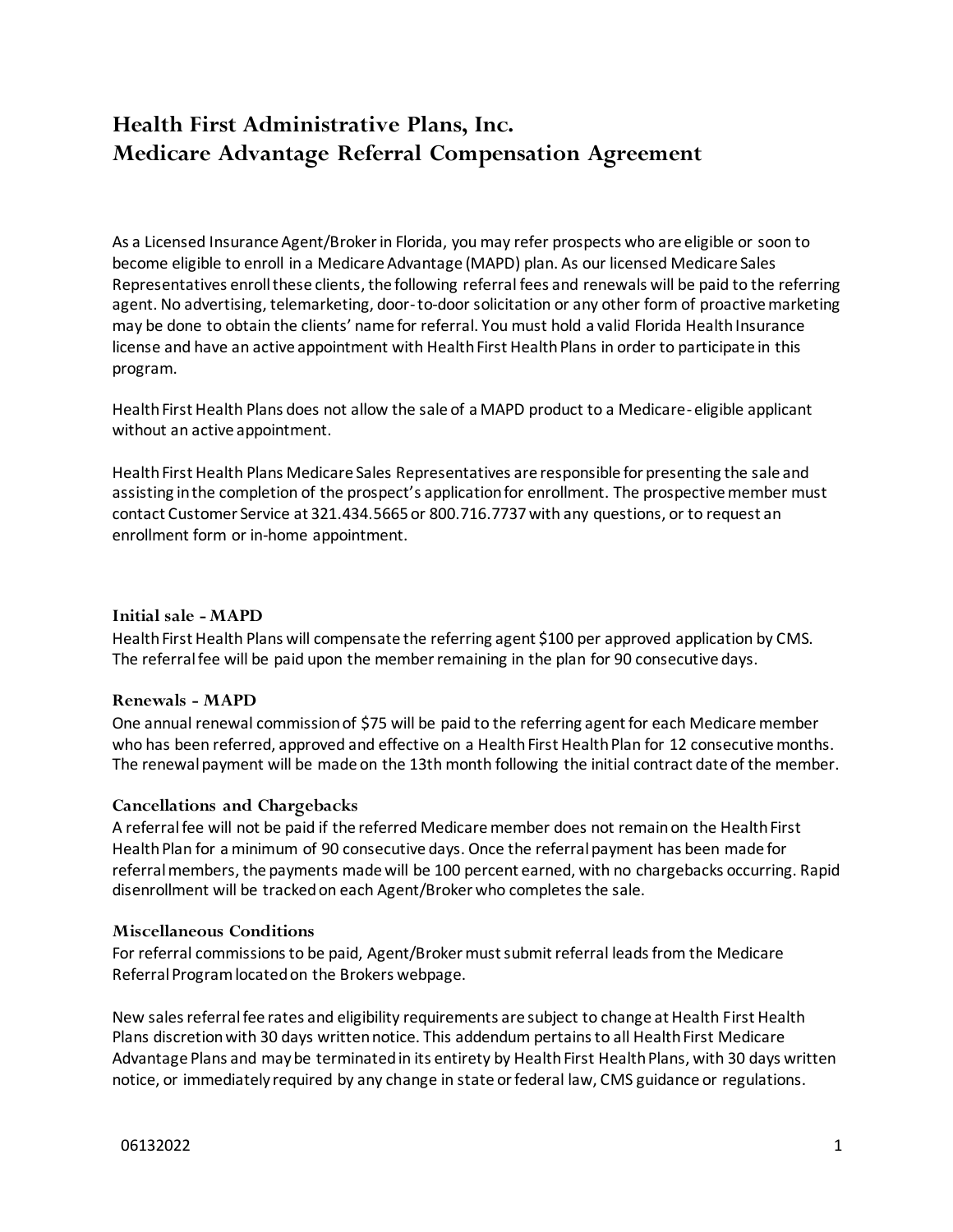# **Health First Administrative Plans, Inc. Medicare Advantage Referral Compensation Agreement**

As a Licensed Insurance Agent/Broker in Florida, you may refer prospects who are eligible or soon to become eligible to enroll in a Medicare Advantage (MAPD) plan. As our licensed Medicare Sales Representatives enroll these clients, the following referral fees and renewals will be paid to the referring agent. No advertising, telemarketing, door-to-door solicitation or any other form of proactive marketing may be done to obtain the clients' name for referral. You must hold a valid Florida Health Insurance license and have an active appointment with Health First Health Plans in order to participate in this program.

Health First Health Plans does not allow the sale of a MAPD product to a Medicare-eligible applicant without an active appointment.

Health First Health Plans Medicare Sales Representatives are responsible for presenting the sale and assisting in the completion of the prospect's application for enrollment. The prospective member must contact Customer Service at 321.434.5665 or 800.716.7737 with any questions, or to request an enrollment form or in-home appointment.

### **Initial sale - MAPD**

Health First Health Plans will compensate the referring agent \$100 per approved application by CMS. The referral fee will be paid upon the member remaining in the plan for 90 consecutive days.

### **Renewals - MAPD**

One annual renewal commission of \$75 will be paid to the referring agent for each Medicare member who has been referred, approved and effective on a Health First Health Plan for 12 consecutive months. The renewal payment will be made on the 13th month following the initial contract date of the member.

## **Cancellations and Chargebacks**

A referral fee will not be paid if the referred Medicare member does not remain on the Health First Health Plan for a minimum of 90 consecutive days. Once the referral payment has been made for referral members, the payments made will be 100 percent earned, with no chargebacks occurring. Rapid disenrollment will be tracked on each Agent/Broker who completes the sale.

### **Miscellaneous Conditions**

For referral commissions to be paid, Agent/Broker must submit referral leads from the Medicare Referral Program located on the Brokers webpage.

New sales referral fee rates and eligibility requirements are subject to change at Health First Health Plans discretion with 30 days written notice. This addendum pertains to all Health First Medicare Advantage Plans and may be terminated in its entirety by Health First Health Plans, with 30 days written notice, or immediately required by any change in state or federal law, CMS guidance or regulations.